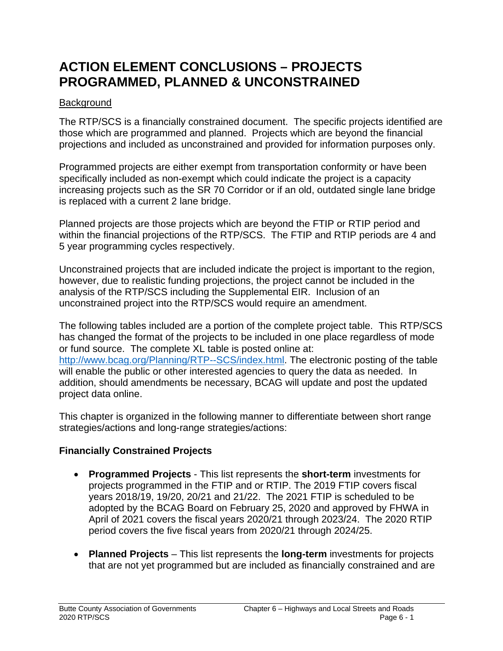# **ACTION ELEMENT CONCLUSIONS – PROJECTS PROGRAMMED, PLANNED & UNCONSTRAINED**

#### **Background**

The RTP/SCS is a financially constrained document. The specific projects identified are those which are programmed and planned. Projects which are beyond the financial projections and included as unconstrained and provided for information purposes only.

Programmed projects are either exempt from transportation conformity or have been specifically included as non-exempt which could indicate the project is a capacity increasing projects such as the SR 70 Corridor or if an old, outdated single lane bridge is replaced with a current 2 lane bridge.

Planned projects are those projects which are beyond the FTIP or RTIP period and within the financial projections of the RTP/SCS. The FTIP and RTIP periods are 4 and 5 year programming cycles respectively.

Unconstrained projects that are included indicate the project is important to the region, however, due to realistic funding projections, the project cannot be included in the analysis of the RTP/SCS including the Supplemental EIR. Inclusion of an unconstrained project into the RTP/SCS would require an amendment.

The following tables included are a portion of the complete project table. This RTP/SCS has changed the format of the projects to be included in one place regardless of mode or fund source. The complete XL table is posted online at: [http://www.bcag.org/Planning/RTP--SCS/index.html.](http://www.bcag.org/Planning/RTP--SCS/index.html/) The electronic posting of the table will enable the public or other interested agencies to query the data as needed. In addition, should amendments be necessary, BCAG will update and post the updated project data online.

This chapter is organized in the following manner to differentiate between short range strategies/actions and long-range strategies/actions:

# **Financially Constrained Projects**

- **Programmed Projects** This list represents the **short-term** investments for projects programmed in the FTIP and or RTIP. The 2019 FTIP covers fiscal years 2018/19, 19/20, 20/21 and 21/22. The 2021 FTIP is scheduled to be adopted by the BCAG Board on February 25, 2020 and approved by FHWA in April of 2021 covers the fiscal years 2020/21 through 2023/24. The 2020 RTIP period covers the five fiscal years from 2020/21 through 2024/25.
- **Planned Projects** This list represents the **long-term** investments for projects that are not yet programmed but are included as financially constrained and are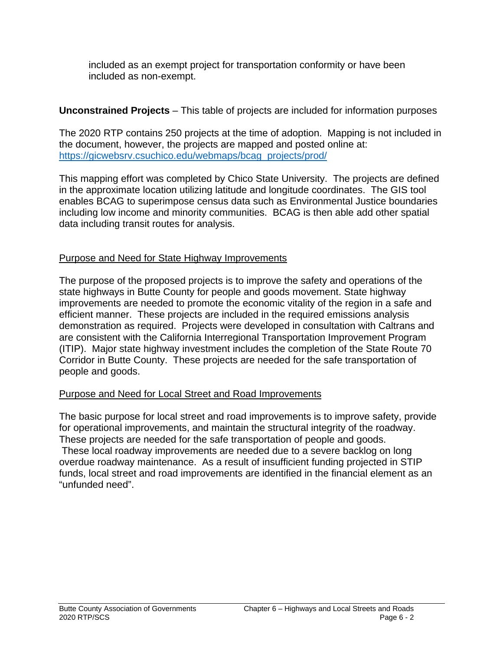included as an exempt project for transportation conformity or have been included as non-exempt.

# **Unconstrained Projects** – This table of projects are included for information purposes

The 2020 RTP contains 250 projects at the time of adoption. Mapping is not included in the document, however, the projects are mapped and posted online at: [https://gicwebsrv.csuchico.edu/webmaps/bcag\\_projects/prod/](https://gicwebsrv.csuchico.edu/webmaps/bcag_projects/prod/)

This mapping effort was completed by Chico State University. The projects are defined in the approximate location utilizing latitude and longitude coordinates. The GIS tool enables BCAG to superimpose census data such as Environmental Justice boundaries including low income and minority communities. BCAG is then able add other spatial data including transit routes for analysis.

# Purpose and Need for State Highway Improvements

The purpose of the proposed projects is to improve the safety and operations of the state highways in Butte County for people and goods movement. State highway improvements are needed to promote the economic vitality of the region in a safe and efficient manner. These projects are included in the required emissions analysis demonstration as required. Projects were developed in consultation with Caltrans and are consistent with the California Interregional Transportation Improvement Program (ITIP). Major state highway investment includes the completion of the State Route 70 Corridor in Butte County. These projects are needed for the safe transportation of people and goods.

# Purpose and Need for Local Street and Road Improvements

The basic purpose for local street and road improvements is to improve safety, provide for operational improvements, and maintain the structural integrity of the roadway. These projects are needed for the safe transportation of people and goods.

These local roadway improvements are needed due to a severe backlog on long overdue roadway maintenance. As a result of insufficient funding projected in STIP funds, local street and road improvements are identified in the financial element as an "unfunded need".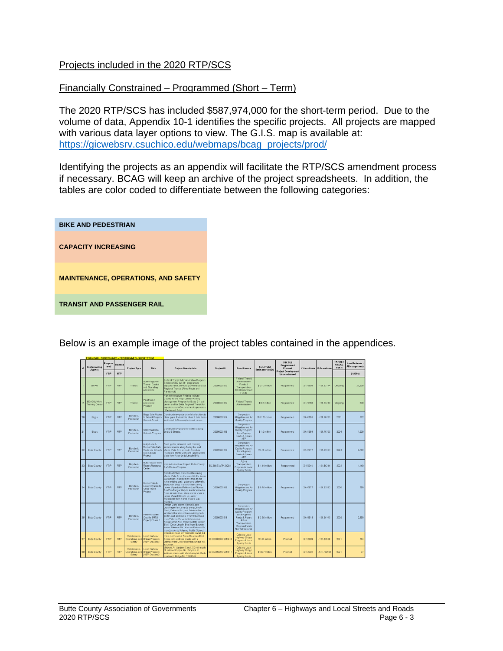#### Projects included in the 2020 RTP/SCS

#### Financially Constrained – Programmed (Short – Term)

The 2020 RTP/SCS has included \$587,974,000 for the short-term period. Due to the volume of data, Appendix 10-1 identifies the specific projects. All projects are mapped with various data layer options to view. The G.I.S. map is available at: [https://gicwebsrv.csuchico.edu/webmaps/bcag\\_projects/prod/](https://gicwebsrv.csuchico.edu/webmaps/bcag_projects/prod/)

Identifying the projects as an appendix will facilitate the RTP/SCS amendment process if necessary. BCAG will keep an archive of the project spreadsheets. In addition, the tables are color coded to differentiate between the following categories:

| <b>BIKE AND PEDESTRIAN</b>                 |
|--------------------------------------------|
| <b>CAPACITY INCREASING</b>                 |
| <b>MAINTENANCE, OPERATIONS, AND SAFETY</b> |
| <b>TRANSIT AND PASSENGER RAIL</b>          |

Below is an example image of the project tables contained in the appendices.

|    | Im plans enting<br>Agency                 | Pregram<br>med | Planned    | <b>Project Type</b>                                     | Title                                                                                     | <b>Project Descriptioin</b>                                                                                                                                                                                                                                                                                                                                                                                                            | Project ID               | Fund Source                                                                                                                                                  | <b>Fund Total</b><br>Estimate (1,000s) | <b>STATUS</b><br>Programmed<br>Planned<br>Project Development<br>Unconstrained |          | Y Coordinate   X Coordinate | <b>TARGET</b><br><b>FISCAL</b><br><b>YEAR</b> | Cost Estimate<br>All components |
|----|-------------------------------------------|----------------|------------|---------------------------------------------------------|-------------------------------------------------------------------------------------------|----------------------------------------------------------------------------------------------------------------------------------------------------------------------------------------------------------------------------------------------------------------------------------------------------------------------------------------------------------------------------------------------------------------------------------------|--------------------------|--------------------------------------------------------------------------------------------------------------------------------------------------------------|----------------------------------------|--------------------------------------------------------------------------------|----------|-----------------------------|-----------------------------------------------|---------------------------------|
|    |                                           | FTP.           | <b>RTP</b> |                                                         |                                                                                           |                                                                                                                                                                                                                                                                                                                                                                                                                                        |                          |                                                                                                                                                              |                                        |                                                                                |          |                             |                                               | (1,000n)                        |
|    | BCAG.                                     | FTP            | RTP        | Transit                                                 | <b>Butte Fregional</b><br><b>Francis - Copital</b><br>and Clow abrig<br><b>Assistance</b> | Faderal Transit Administration Program<br>Sections 5307 & 5311 programs to<br>support transit services provided by Butte-<br>Regional Transit (Fixed Route and<br><b>(Bansthew)</b>                                                                                                                                                                                                                                                    | 20200000200              | ederal Transit<br>A ciministration<br>Funds &<br>Transportation<br>Development Act<br>Funds.                                                                 | \$27.3 million                         | Programmed                                                                     | 39.20503 | $-121.82174$                | Crygoling                                     | 27,300                          |
|    | <b>BCAG &amp; Work</b><br>Training Center | <b>STIP</b>    | RTR        | Transit                                                 | Taratransit<br>kesistance<br><b>hogram</b>                                                | Non Infrastructure Projects in Butte<br>County for the Help Central Mobility<br>Management Program for Butte 211 call<br>center and for Butte Regional Transit for<br>nucciemental ADA paratransit operations.<br>Paratransit Only)                                                                                                                                                                                                    | 20200001182              | Federal Transit<br>A ciministration                                                                                                                          | $$0.6$ million                         | Programmed.                                                                    | 33.70483 | $-121.82210$                | Origoing                                      | 600                             |
| 20 | Boss.                                     | FTP.           | <b>RTP</b> | <b>Boyde &amp;</b><br>Pedestrian                        | s School Project -<br><b>Incord Street</b>                                                | liggs Sale Routes Construct new pedestrian/bility facilities to<br>close gaps. Extend the class 2 bike lanes<br>and install ADA compliant curb ramps.                                                                                                                                                                                                                                                                                  | 20200000217              | Congestion<br>Mitigation and Air<br>Quality Program                                                                                                          | \$ 0.172 million                       | Programmed                                                                     | 29,41559 | $-121.70701$                | 2021                                          | 172                             |
| 21 | Biggs                                     | <b>FTP</b>     | <b>RTP</b> | <b>Double &amp;</b><br>Petestian                        | Safe Routes to<br>Schools Pregram                                                         | Construct new pedibile facilities along<br>2nd & E Streets                                                                                                                                                                                                                                                                                                                                                                             | 20200000198              | Congestion<br>Mitgation and Air<br>Quality Program.<br>Local Agency<br>Funds & Future<br><b>ATP</b>                                                          | \$1.5 million                          | Programmed                                                                     | 39,41684 | $-121.70750$                | 2024                                          | 1.500                           |
| 22 | <b>Eute County</b>                        | FTP.           | RTP        | Bityde &<br>Pedestrian                                  | <b>Vary Lane &amp;</b><br>Monte Vista Safe<br><b>Bao Closure</b><br>Project               | Curb, gutter, sidewalk, and crossing<br>enhancements along Autrey Ln. and<br>Routes to Schools Monte Vista Ave. on Autry from Las<br>Plumas to Monte Vista and along Monte<br>Vista from Autry Ln to Lincoln Elvd.                                                                                                                                                                                                                     | 20200000196              | Competition<br>Mitgation and Air<br>Quality Program.<br>Local Agency<br><b>Funds &amp; Future</b><br><b>ATP</b>                                              | \$3.15 million                         | Programmed                                                                     | 39,47677 | $-121.63584$                | 2024                                          | 3,150                           |
| 23 | <b>Butte County</b>                       | <b>FTP</b>     | RTP        | Boyde &<br>Peterrian                                    | kete Courey Safe<br><b>loutes Resource</b><br><b>Techno</b>                               | on Infrastructure Project, Butte County<br>Safe Rouses Program                                                                                                                                                                                                                                                                                                                                                                         | <b>BC-BKE-ATP-2020-1</b> | Active<br>Transportation<br>Program & Local<br>Agency funds                                                                                                  | $$1.14$ milion                         | Programmed                                                                     | 39.52244 | $-121.55214$                | 2022                                          | 1,140                           |
| 24 | <b>Eutre County</b>                       | <b>FTP</b>     | <b>RTP</b> | Bcyde &<br>Pedestran                                    | A gasty ennote<br>Lower Winndotte<br>Class II Eile<br>Project                             | Construct Class II bike facilities along<br>Monte Vista Av and Lincoln Eliyd to Lower<br>Wyandotte Pd in locations that do not<br>have existing curb, outer and sidewalks.<br>along with days II bile facilities along<br>Lower Wyandotte Rd from Las Plumas<br>Ave/Oro Bangor Hwy to Monte Vista Ave.<br>From Lincoln Blvd. along Monte Vista to<br>Lower Wyandotte and up Lower<br>Myandotte from Monte Vista to Las<br><b>Numbs</b> | 20200000195              | Congestion<br>Mitigation and Air<br>Quality Program                                                                                                          | \$ 0.75 million                        | Programmed                                                                     | 39,47677 | $-121.63082$                | 2020                                          | 750                             |
| 25 | <b>Butte County</b>                       | <b>FTP</b>     | <b>RTP</b> | Boyde &<br>Pedestran                                    | dacitiometri<br>Droville SRTS<br><b>Project</b> , Phase 3                                 | Design Curb, gutter, sidewalk, and<br>crossing enhancements along Lincoln<br>Blvd., Palermo Rd., and Boldwin Ave. in<br>locations that do not have existing curb.<br>outter, and sidewalks. From Hevett Ave<br>trom Palermo Rd up to Baldwin Ave.<br>Along Balwin Ave. from Hewitt to Lincoln<br>Blvd. Down Lincoln Blvd. from Baldwin<br>ave to Palermo Rd. Also on Palermo Rd.<br>from Lincoln to Palermo Middle School.             | 20200000218              | Connession<br>Mitigation and Air<br><b>Cusity Program.</b><br>Local Agency<br>Funds & Future<br>Active<br>Transportation<br>Program Funds<br>Not Yet Secured | \$2.35 million                         | Programmed                                                                     | 39.43518 | $-121.66140$                | 2026                                          | 2.350                           |
|    | <b>Butte County</b>                       | <b>STA</b>     | RTP        | Maintenance.<br>Safety                                  | cal Highway<br>Coarations, and Bridge Program<br>HBP Grouped)                             | Cherckee Road at Thermalito Canal, 04<br>minie northeast of Table Mountain Elvd.<br>Scope is to address cracks with a<br>Methach/ate Deck treatment. Bridge No.<br>200258                                                                                                                                                                                                                                                              | 20200000056.2019.10      | Caltrans Local<br><b>Highway Dridge</b><br>Program & Local<br>Agency funds                                                                                   | \$166 million                          | Planned                                                                        | 39.52893 | 121,55559                   | 2021                                          | 144                             |
| 28 | <b>Butte County</b>                       | FTP            | <b>RTP</b> | Maintenance<br><b>Operations</b> , and<br><b>Retire</b> | scal Highway<br>Bridge Program<br>(bhouptid)                                              | Midway, At Western Caral, J 2mie north<br>of Nelson Shippee Rd. Scope is to<br>address cracks with a Methacrylate Deck<br>treatment. Bridge No. 1203340                                                                                                                                                                                                                                                                                | 21200000066-2019-11      | Caltrans Local<br><b>Highway Drider</b><br>Program & Local<br>Agency funds                                                                                   | \$ 037 million                         | Planned                                                                        | 39.54004 | 121.703483                  | 2021                                          | 37                              |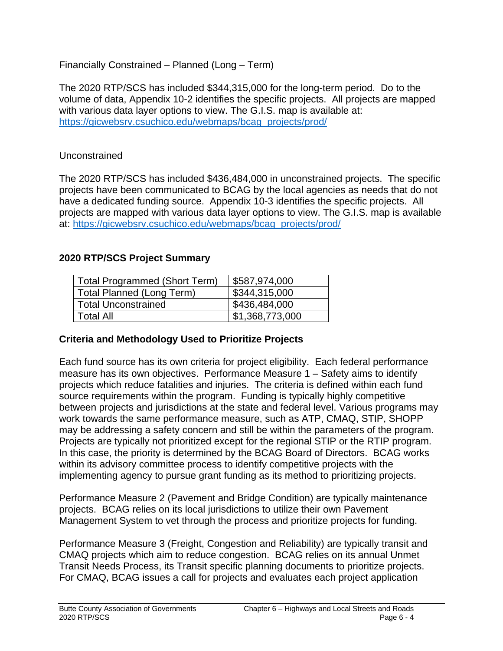## Financially Constrained – Planned (Long – Term)

The 2020 RTP/SCS has included \$344,315,000 for the long-term period. Do to the volume of data, Appendix 10-2 identifies the specific projects. All projects are mapped with various data layer options to view. The G.I.S. map is available at: [https://gicwebsrv.csuchico.edu/webmaps/bcag\\_projects/prod/](https://gicwebsrv.csuchico.edu/webmaps/bcag_projects/prod/)

#### Unconstrained

The 2020 RTP/SCS has included \$436,484,000 in unconstrained projects. The specific projects have been communicated to BCAG by the local agencies as needs that do not have a dedicated funding source. Appendix 10-3 identifies the specific projects. All projects are mapped with various data layer options to view. The G.I.S. map is available at: [https://gicwebsrv.csuchico.edu/webmaps/bcag\\_projects/prod/](https://gicwebsrv.csuchico.edu/webmaps/bcag_projects/prod/)

#### **2020 RTP/SCS Project Summary**

| <b>Total Programmed (Short Term)</b> | \$587,974,000   |
|--------------------------------------|-----------------|
| Total Planned (Long Term)            | \$344,315,000   |
| <b>Total Unconstrained</b>           | \$436,484,000   |
| Total All                            | \$1,368,773,000 |

#### **Criteria and Methodology Used to Prioritize Projects**

Each fund source has its own criteria for project eligibility. Each federal performance measure has its own objectives. Performance Measure 1 – Safety aims to identify projects which reduce fatalities and injuries. The criteria is defined within each fund source requirements within the program. Funding is typically highly competitive between projects and jurisdictions at the state and federal level. Various programs may work towards the same performance measure, such as ATP, CMAQ, STIP, SHOPP may be addressing a safety concern and still be within the parameters of the program. Projects are typically not prioritized except for the regional STIP or the RTIP program. In this case, the priority is determined by the BCAG Board of Directors. BCAG works within its advisory committee process to identify competitive projects with the implementing agency to pursue grant funding as its method to prioritizing projects.

Performance Measure 2 (Pavement and Bridge Condition) are typically maintenance projects. BCAG relies on its local jurisdictions to utilize their own Pavement Management System to vet through the process and prioritize projects for funding.

Performance Measure 3 (Freight, Congestion and Reliability) are typically transit and CMAQ projects which aim to reduce congestion. BCAG relies on its annual Unmet Transit Needs Process, its Transit specific planning documents to prioritize projects. For CMAQ, BCAG issues a call for projects and evaluates each project application